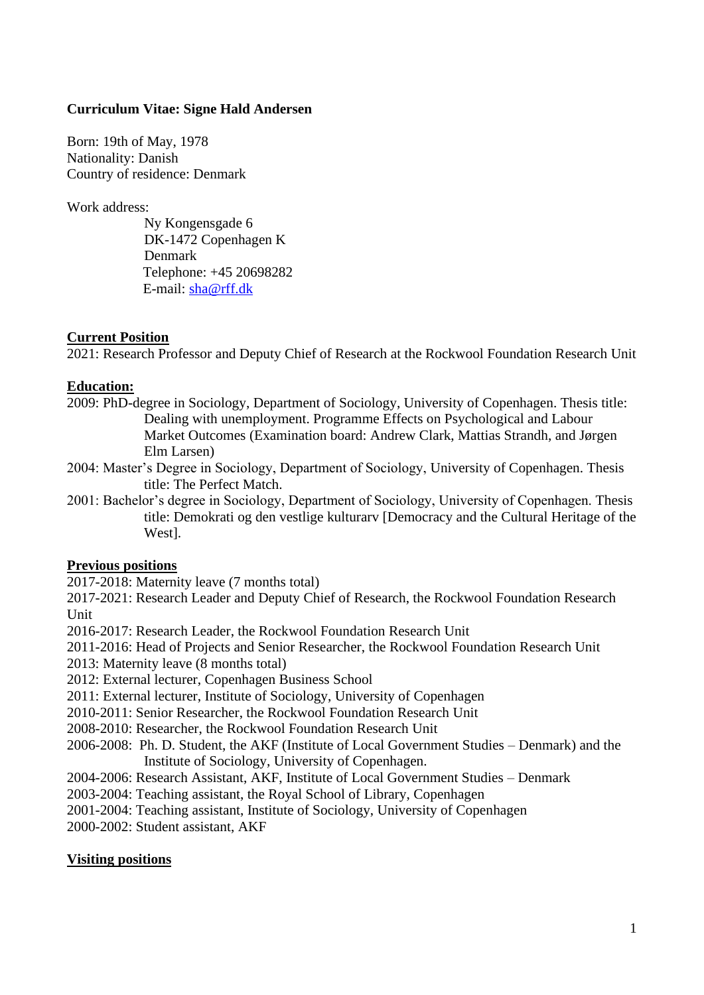### **Curriculum Vitae: Signe Hald Andersen**

Born: 19th of May, 1978 Nationality: Danish Country of residence: Denmark

Work address:

Ny Kongensgade 6 DK-1472 Copenhagen K Denmark Telephone: +45 20698282 E-mail: [sha@rff.dk](mailto:sha@rff.dk)

### **Current Position**

2021: Research Professor and Deputy Chief of Research at the Rockwool Foundation Research Unit

#### **Education:**

- 2009: PhD-degree in Sociology, Department of Sociology, University of Copenhagen. Thesis title: Dealing with unemployment. Programme Effects on Psychological and Labour Market Outcomes (Examination board: Andrew Clark, Mattias Strandh, and Jørgen Elm Larsen)
- 2004: Master's Degree in Sociology, Department of Sociology, University of Copenhagen. Thesis title: The Perfect Match.
- 2001: Bachelor's degree in Sociology, Department of Sociology, University of Copenhagen. Thesis title: Demokrati og den vestlige kulturarv [Democracy and the Cultural Heritage of the West].

# **Previous positions**

2017-2018: Maternity leave (7 months total)

2017-2021: Research Leader and Deputy Chief of Research, the Rockwool Foundation Research Unit

2016-2017: Research Leader, the Rockwool Foundation Research Unit

2011-2016: Head of Projects and Senior Researcher, the Rockwool Foundation Research Unit

- 2013: Maternity leave (8 months total)
- 2012: External lecturer, Copenhagen Business School
- 2011: External lecturer, Institute of Sociology, University of Copenhagen
- 2010-2011: Senior Researcher, the Rockwool Foundation Research Unit
- 2008-2010: Researcher, the Rockwool Foundation Research Unit
- 2006-2008: Ph. D. Student, the AKF (Institute of Local Government Studies Denmark) and the Institute of Sociology, University of Copenhagen.
- 2004-2006: Research Assistant, AKF, Institute of Local Government Studies Denmark

2003-2004: Teaching assistant, the Royal School of Library, Copenhagen

2001-2004: Teaching assistant, Institute of Sociology, University of Copenhagen

2000-2002: Student assistant, AKF

# **Visiting positions**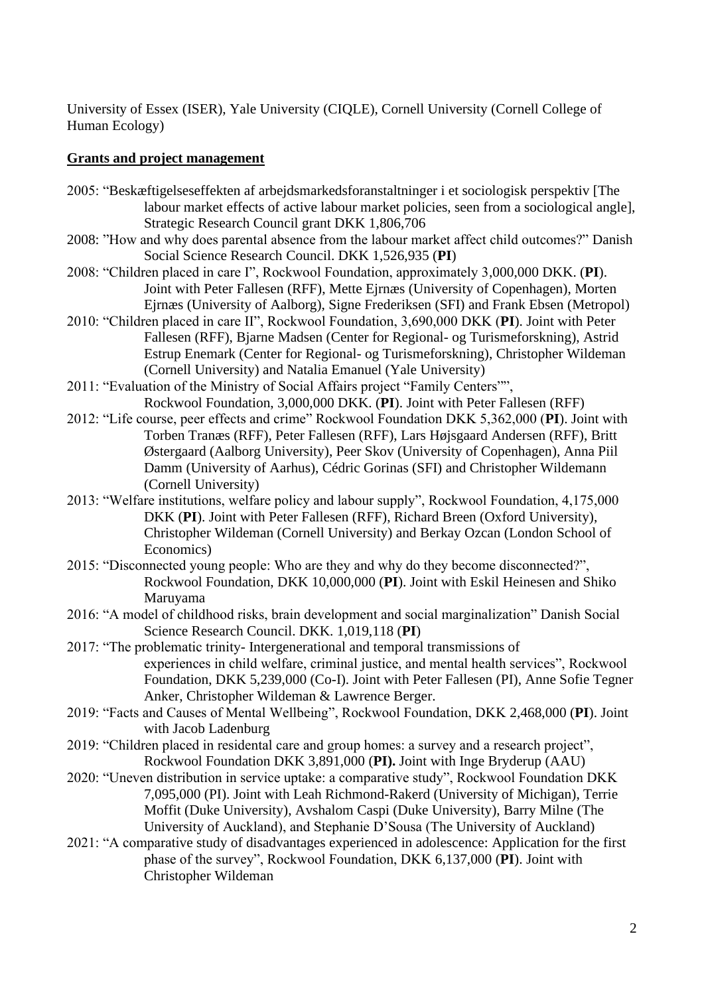University of Essex (ISER), Yale University (CIQLE), Cornell University (Cornell College of Human Ecology)

### **Grants and project management**

- 2005: "Beskæftigelseseffekten af arbejdsmarkedsforanstaltninger i et sociologisk perspektiv [The labour market effects of active labour market policies, seen from a sociological angle], Strategic Research Council grant DKK 1,806,706
- 2008: "How and why does parental absence from the labour market affect child outcomes?" Danish Social Science Research Council. DKK 1,526,935 (**PI**)
- 2008: "Children placed in care I", Rockwool Foundation, approximately 3,000,000 DKK. (**PI**). Joint with Peter Fallesen (RFF), Mette Ejrnæs (University of Copenhagen), Morten Ejrnæs (University of Aalborg), Signe Frederiksen (SFI) and Frank Ebsen (Metropol)
- 2010: "Children placed in care II", Rockwool Foundation, 3,690,000 DKK (**PI**). Joint with Peter Fallesen (RFF), Bjarne Madsen (Center for Regional- og Turismeforskning), Astrid Estrup Enemark (Center for Regional- og Turismeforskning), Christopher Wildeman (Cornell University) and Natalia Emanuel (Yale University)
- 2011: "Evaluation of the Ministry of Social Affairs project "Family Centers"", Rockwool Foundation, 3,000,000 DKK. (**PI**). Joint with Peter Fallesen (RFF)
- 2012: "Life course, peer effects and crime" Rockwool Foundation DKK 5,362,000 (**PI**). Joint with Torben Tranæs (RFF), Peter Fallesen (RFF), Lars Højsgaard Andersen (RFF), Britt Østergaard (Aalborg University), Peer Skov (University of Copenhagen), Anna Piil Damm (University of Aarhus), Cédric Gorinas (SFI) and Christopher Wildemann (Cornell University)
- 2013: "Welfare institutions, welfare policy and labour supply", Rockwool Foundation, 4,175,000 DKK (**PI**). Joint with Peter Fallesen (RFF), Richard Breen (Oxford University), Christopher Wildeman (Cornell University) and Berkay Ozcan (London School of Economics)
- 2015: "Disconnected young people: Who are they and why do they become disconnected?", Rockwool Foundation, DKK 10,000,000 (**PI**). Joint with Eskil Heinesen and Shiko Maruyama
- 2016: "A model of childhood risks, brain development and social marginalization" Danish Social Science Research Council. DKK. 1,019,118 (**PI**)
- 2017: "The problematic trinity- Intergenerational and temporal transmissions of experiences in child welfare, criminal justice, and mental health services", Rockwool Foundation, DKK 5,239,000 (Co-I). Joint with Peter Fallesen (PI), Anne Sofie Tegner Anker, Christopher Wildeman & Lawrence Berger.
- 2019: "Facts and Causes of Mental Wellbeing", Rockwool Foundation, DKK 2,468,000 (**PI**). Joint with Jacob Ladenburg
- 2019: "Children placed in residental care and group homes: a survey and a research project", Rockwool Foundation DKK 3,891,000 (**PI).** Joint with Inge Bryderup (AAU)
- 2020: "Uneven distribution in service uptake: a comparative study", Rockwool Foundation DKK 7,095,000 (PI). Joint with Leah Richmond-Rakerd (University of Michigan), Terrie Moffit (Duke University), Avshalom Caspi (Duke University), Barry Milne (The University of Auckland), and Stephanie D'Sousa (The University of Auckland)
- 2021: "A comparative study of disadvantages experienced in adolescence: Application for the first phase of the survey", Rockwool Foundation, DKK 6,137,000 (**PI**). Joint with Christopher Wildeman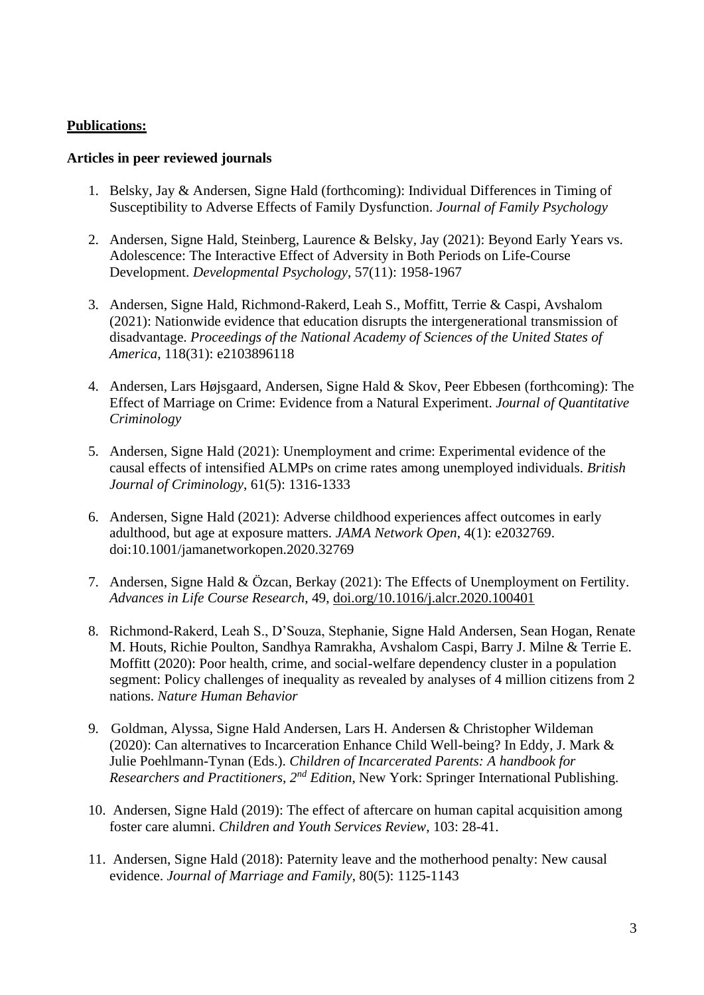### **Publications:**

### **Articles in peer reviewed journals**

- 1. Belsky, Jay & Andersen, Signe Hald (forthcoming): Individual Differences in Timing of Susceptibility to Adverse Effects of Family Dysfunction. *Journal of Family Psychology*
- 2. Andersen, Signe Hald, Steinberg, Laurence & Belsky, Jay (2021): Beyond Early Years vs. Adolescence: The Interactive Effect of Adversity in Both Periods on Life-Course Development. *Developmental Psychology*, 57(11): 1958-1967
- 3. Andersen, Signe Hald, Richmond-Rakerd, Leah S., Moffitt, Terrie & Caspi, Avshalom (2021): Nationwide evidence that education disrupts the intergenerational transmission of disadvantage. *Proceedings of the National Academy of Sciences of the United States of America*, 118(31): e2103896118
- 4. Andersen, Lars Højsgaard, Andersen, Signe Hald & Skov, Peer Ebbesen (forthcoming): The Effect of Marriage on Crime: Evidence from a Natural Experiment. *Journal of Quantitative Criminology*
- 5. Andersen, Signe Hald (2021): Unemployment and crime: Experimental evidence of the causal effects of intensified ALMPs on crime rates among unemployed individuals. *British Journal of Criminology*, 61(5): 1316-1333
- 6. Andersen, Signe Hald (2021): Adverse childhood experiences affect outcomes in early adulthood, but age at exposure matters. *JAMA Network Open*, 4(1): e2032769. doi:10.1001/jamanetworkopen.2020.32769
- 7. Andersen, Signe Hald & Özcan, Berkay (2021): The Effects of Unemployment on Fertility. *Advances in Life Course Research*, 49, [doi.org/10.1016/j.alcr.2020.100401](https://doi.org/10.1016/j.alcr.2020.100401)
- 8. Richmond-Rakerd, Leah S., D'Souza, Stephanie, Signe Hald Andersen, Sean Hogan, Renate M. Houts, Richie Poulton, Sandhya Ramrakha, Avshalom Caspi, Barry J. Milne & Terrie E. Moffitt (2020): Poor health, crime, and social-welfare dependency cluster in a population segment: Policy challenges of inequality as revealed by analyses of 4 million citizens from 2 nations. *Nature Human Behavior*
- 9. Goldman, Alyssa, Signe Hald Andersen, Lars H. Andersen & Christopher Wildeman (2020): Can alternatives to Incarceration Enhance Child Well-being? In Eddy, J. Mark & Julie Poehlmann-Tynan (Eds.). *Children of Incarcerated Parents: A handbook for Researchers and Practitioners, 2nd Edition*, New York: Springer International Publishing.
- 10. Andersen, Signe Hald (2019): The effect of aftercare on human capital acquisition among foster care alumni. *Children and Youth Services Review*, 103: 28-41.
- 11. Andersen, Signe Hald (2018): Paternity leave and the motherhood penalty: New causal evidence. *Journal of Marriage and Family*, 80(5): 1125-1143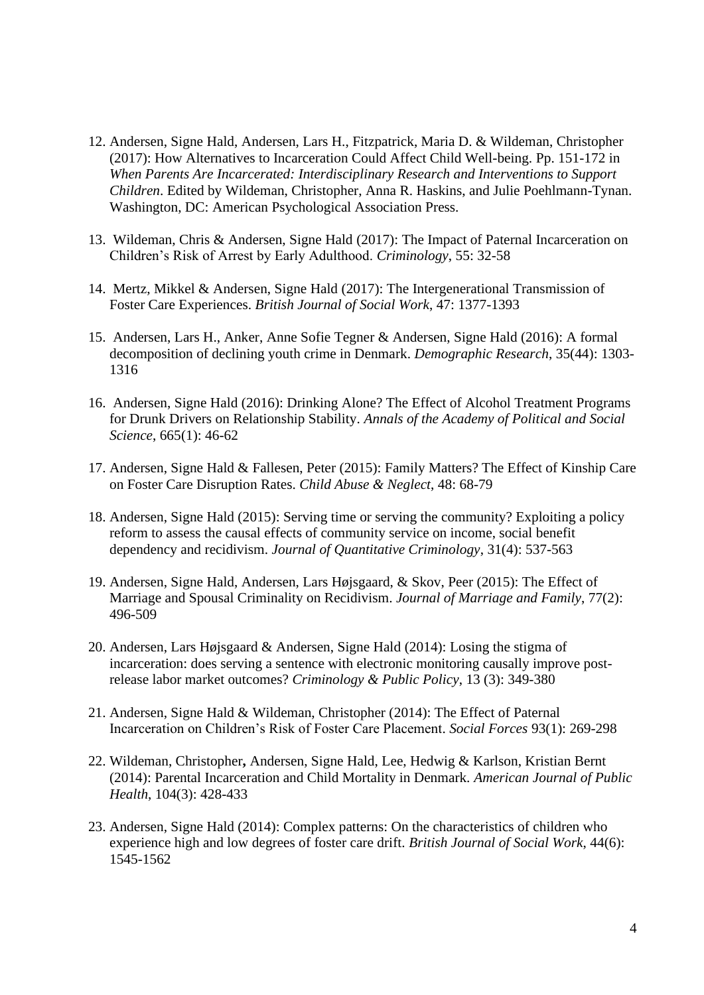- 12. Andersen, Signe Hald, Andersen, Lars H., Fitzpatrick, Maria D. & Wildeman, Christopher (2017): How Alternatives to Incarceration Could Affect Child Well-being. Pp. 151-172 in *When Parents Are Incarcerated: Interdisciplinary Research and Interventions to Support Children*. Edited by Wildeman, Christopher, Anna R. Haskins, and Julie Poehlmann-Tynan. Washington, DC: American Psychological Association Press.
- 13. Wildeman, Chris & Andersen, Signe Hald (2017): The Impact of Paternal Incarceration on Children's Risk of Arrest by Early Adulthood. *Criminology*, 55: 32-58
- 14. Mertz, Mikkel & Andersen, Signe Hald (2017): The Intergenerational Transmission of Foster Care Experiences. *British Journal of Social Work*, 47: 1377-1393
- 15. Andersen, Lars H., Anker, Anne Sofie Tegner & Andersen, Signe Hald (2016): A formal decomposition of declining youth crime in Denmark. *Demographic Research*, 35(44): 1303- 1316
- 16. Andersen, Signe Hald (2016): Drinking Alone? The Effect of Alcohol Treatment Programs for Drunk Drivers on Relationship Stability. *Annals of the Academy of Political and Social Science*, 665(1): 46-62
- 17. Andersen, Signe Hald & Fallesen, Peter (2015): Family Matters? The Effect of Kinship Care on Foster Care Disruption Rates. *Child Abuse & Neglect*, 48: 68-79
- 18. Andersen, Signe Hald (2015): Serving time or serving the community? Exploiting a policy reform to assess the causal effects of community service on income, social benefit dependency and recidivism. *Journal of Quantitative Criminology*, 31(4): 537-563
- 19. Andersen, Signe Hald, Andersen, Lars Højsgaard, & Skov, Peer (2015): The Effect of Marriage and Spousal Criminality on Recidivism. *Journal of Marriage and Family*, 77(2): 496-509
- 20. Andersen, Lars Højsgaard & Andersen, Signe Hald (2014): Losing the stigma of incarceration: does serving a sentence with electronic monitoring causally improve postrelease labor market outcomes? *Criminology & Public Policy*, 13 (3): 349-380
- 21. Andersen, Signe Hald & Wildeman, Christopher (2014): The Effect of Paternal Incarceration on Children's Risk of Foster Care Placement. *Social Forces* 93(1): 269-298
- 22. Wildeman, Christopher**,** Andersen, Signe Hald, Lee, Hedwig & Karlson, Kristian Bernt (2014): Parental Incarceration and Child Mortality in Denmark. *American Journal of Public Health*, 104(3): 428-433
- 23. Andersen, Signe Hald (2014): Complex patterns: On the characteristics of children who experience high and low degrees of foster care drift. *British Journal of Social Work*, 44(6): 1545-1562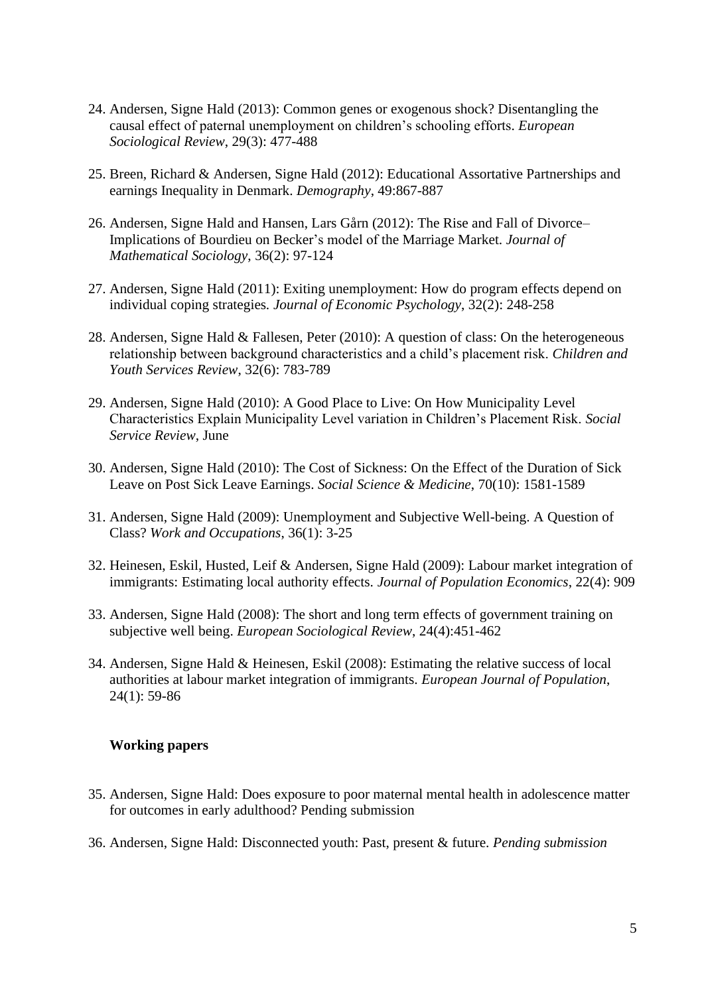- 24. Andersen, Signe Hald (2013): Common genes or exogenous shock? Disentangling the causal effect of paternal unemployment on children's schooling efforts. *European Sociological Review*, 29(3): 477-488
- 25. Breen, Richard & Andersen, Signe Hald (2012): Educational Assortative Partnerships and earnings Inequality in Denmark. *Demography*, 49:867-887
- 26. Andersen, Signe Hald and Hansen, Lars Gårn (2012): The Rise and Fall of Divorce– Implications of Bourdieu on Becker's model of the Marriage Market. *Journal of Mathematical Sociology*, 36(2): 97-124
- 27. Andersen, Signe Hald (2011): Exiting unemployment: How do program effects depend on individual coping strategies*. Journal of Economic Psychology*, 32(2): 248-258
- 28. Andersen, Signe Hald & Fallesen, Peter (2010): A question of class: On the heterogeneous relationship between background characteristics and a child's placement risk. *Children and Youth Services Review*, 32(6): 783-789
- 29. Andersen, Signe Hald (2010): A Good Place to Live: On How Municipality Level Characteristics Explain Municipality Level variation in Children's Placement Risk. *Social Service Review*, June
- 30. Andersen, Signe Hald (2010): The Cost of Sickness: On the Effect of the Duration of Sick Leave on Post Sick Leave Earnings. *Social Science & Medicine*, 70(10): 1581-1589
- 31. Andersen, Signe Hald (2009): Unemployment and Subjective Well-being. A Question of Class? *Work and Occupations*, 36(1): 3-25
- 32. Heinesen, Eskil, Husted, Leif & Andersen, Signe Hald (2009): Labour market integration of immigrants: Estimating local authority effects. *Journal of Population Economics*, 22(4): 909
- 33. Andersen, Signe Hald (2008): The short and long term effects of government training on subjective well being. *European Sociological Review*, 24(4):451-462
- 34. Andersen, Signe Hald & Heinesen, Eskil (2008): Estimating the relative success of local authorities at labour market integration of immigrants. *European Journal of Population*, 24(1): 59-86

#### **Working papers**

- 35. Andersen, Signe Hald: Does exposure to poor maternal mental health in adolescence matter for outcomes in early adulthood? Pending submission
- 36. Andersen, Signe Hald: Disconnected youth: Past, present & future. *Pending submission*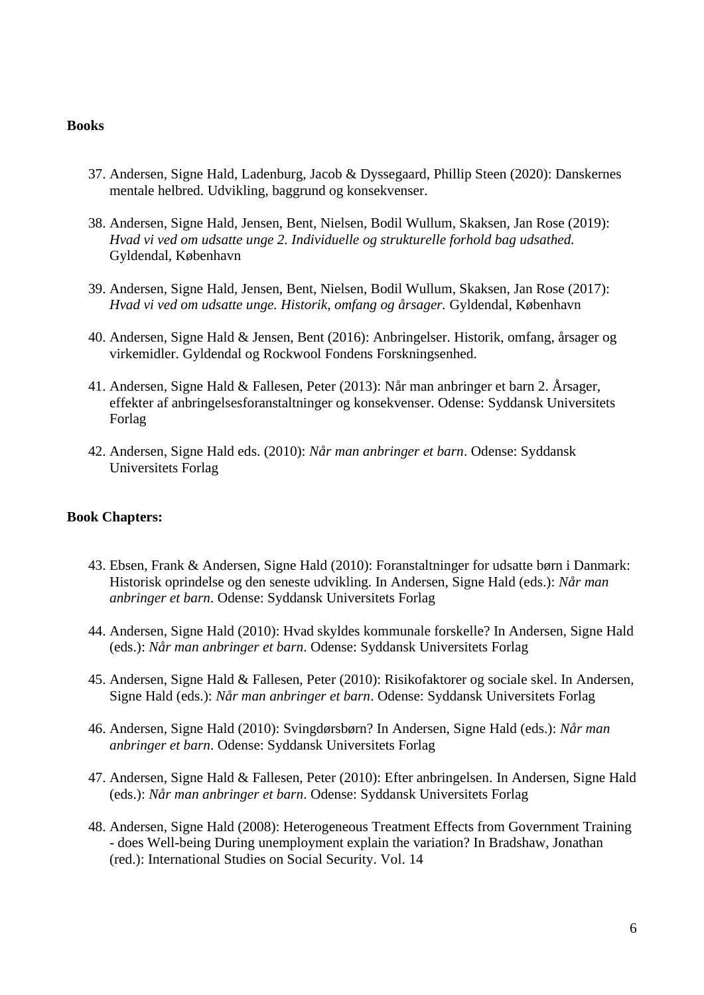#### **Books**

- 37. Andersen, Signe Hald, Ladenburg, Jacob & Dyssegaard, Phillip Steen (2020): Danskernes mentale helbred. Udvikling, baggrund og konsekvenser.
- 38. Andersen, Signe Hald, Jensen, Bent, Nielsen, Bodil Wullum, Skaksen, Jan Rose (2019): *Hvad vi ved om udsatte unge 2. Individuelle og strukturelle forhold bag udsathed.*  Gyldendal, København
- 39. Andersen, Signe Hald, Jensen, Bent, Nielsen, Bodil Wullum, Skaksen, Jan Rose (2017): *Hvad vi ved om udsatte unge. Historik, omfang og årsager.* Gyldendal, København
- 40. Andersen, Signe Hald & Jensen, Bent (2016): Anbringelser. Historik, omfang, årsager og virkemidler. Gyldendal og Rockwool Fondens Forskningsenhed.
- 41. Andersen, Signe Hald & Fallesen, Peter (2013): Når man anbringer et barn 2. Årsager, effekter af anbringelsesforanstaltninger og konsekvenser. Odense: Syddansk Universitets Forlag
- 42. Andersen, Signe Hald eds. (2010): *Når man anbringer et barn*. Odense: Syddansk Universitets Forlag

#### **Book Chapters:**

- 43. Ebsen, Frank & Andersen, Signe Hald (2010): Foranstaltninger for udsatte børn i Danmark: Historisk oprindelse og den seneste udvikling. In Andersen, Signe Hald (eds.): *Når man anbringer et barn*. Odense: Syddansk Universitets Forlag
- 44. Andersen, Signe Hald (2010): Hvad skyldes kommunale forskelle? In Andersen, Signe Hald (eds.): *Når man anbringer et barn*. Odense: Syddansk Universitets Forlag
- 45. Andersen, Signe Hald & Fallesen, Peter (2010): Risikofaktorer og sociale skel. In Andersen, Signe Hald (eds.): *Når man anbringer et barn*. Odense: Syddansk Universitets Forlag
- 46. Andersen, Signe Hald (2010): Svingdørsbørn? In Andersen, Signe Hald (eds.): *Når man anbringer et barn*. Odense: Syddansk Universitets Forlag
- 47. Andersen, Signe Hald & Fallesen, Peter (2010): Efter anbringelsen. In Andersen, Signe Hald (eds.): *Når man anbringer et barn*. Odense: Syddansk Universitets Forlag
- 48. Andersen, Signe Hald (2008): Heterogeneous Treatment Effects from Government Training - does Well-being During unemployment explain the variation? In Bradshaw, Jonathan (red.): International Studies on Social Security. Vol. 14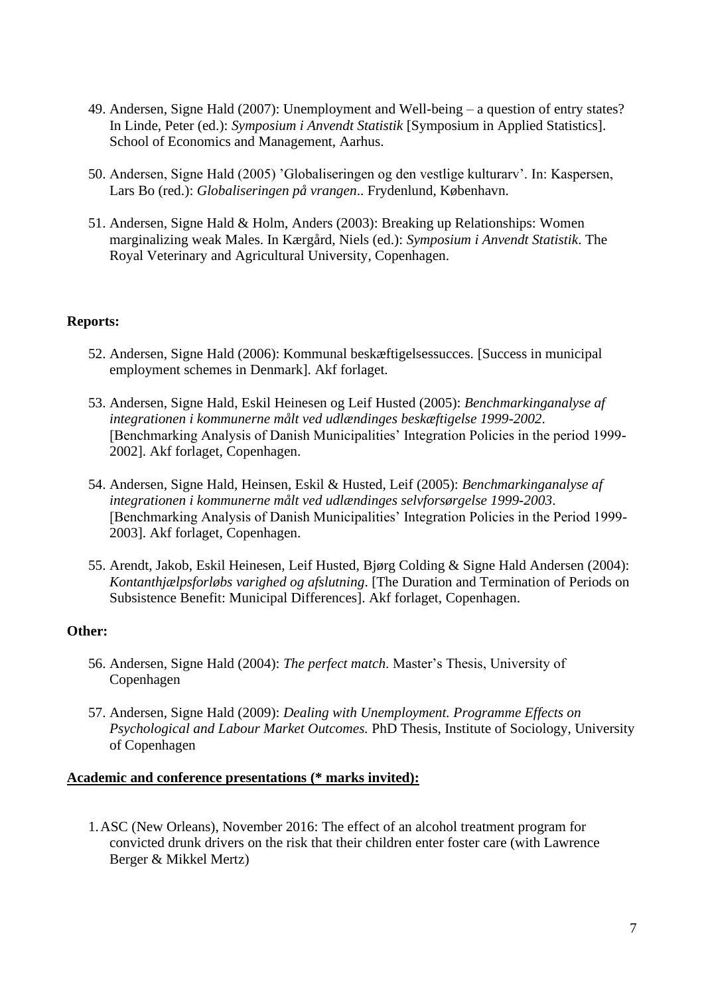- 49. Andersen, Signe Hald (2007): Unemployment and Well-being a question of entry states? In Linde, Peter (ed.): *Symposium i Anvendt Statistik* [Symposium in Applied Statistics]. School of Economics and Management, Aarhus.
- 50. Andersen, Signe Hald (2005) 'Globaliseringen og den vestlige kulturarv'. In: Kaspersen, Lars Bo (red.): *Globaliseringen på vrangen*.. Frydenlund, København.
- 51. Andersen, Signe Hald & Holm, Anders (2003): Breaking up Relationships: Women marginalizing weak Males. In Kærgård, Niels (ed.): *Symposium i Anvendt Statistik*. The Royal Veterinary and Agricultural University, Copenhagen.

### **Reports:**

- 52. Andersen, Signe Hald (2006): Kommunal beskæftigelsessucces. [Success in municipal employment schemes in Denmark]. Akf forlaget.
- 53. Andersen, Signe Hald, Eskil Heinesen og Leif Husted (2005): *Benchmarkinganalyse af integrationen i kommunerne målt ved udlændinges beskæftigelse 1999-2002*. [Benchmarking Analysis of Danish Municipalities' Integration Policies in the period 1999- 2002]. Akf forlaget, Copenhagen.
- 54. Andersen, Signe Hald, Heinsen, Eskil & Husted, Leif (2005): *Benchmarkinganalyse af integrationen i kommunerne målt ved udlændinges selvforsørgelse 1999-2003*. [Benchmarking Analysis of Danish Municipalities' Integration Policies in the Period 1999- 2003]. Akf forlaget, Copenhagen.
- 55. Arendt, Jakob, Eskil Heinesen, Leif Husted, Bjørg Colding & Signe Hald Andersen (2004): *Kontanthjælpsforløbs varighed og afslutning*. [The Duration and Termination of Periods on Subsistence Benefit: Municipal Differences]. Akf forlaget, Copenhagen.

#### **Other:**

- 56. Andersen, Signe Hald (2004): *The perfect match*. Master's Thesis, University of Copenhagen
- 57. Andersen, Signe Hald (2009): *Dealing with Unemployment. Programme Effects on Psychological and Labour Market Outcomes.* PhD Thesis, Institute of Sociology, University of Copenhagen

#### **Academic and conference presentations (\* marks invited):**

1.ASC (New Orleans), November 2016: The effect of an alcohol treatment program for convicted drunk drivers on the risk that their children enter foster care (with Lawrence Berger & Mikkel Mertz)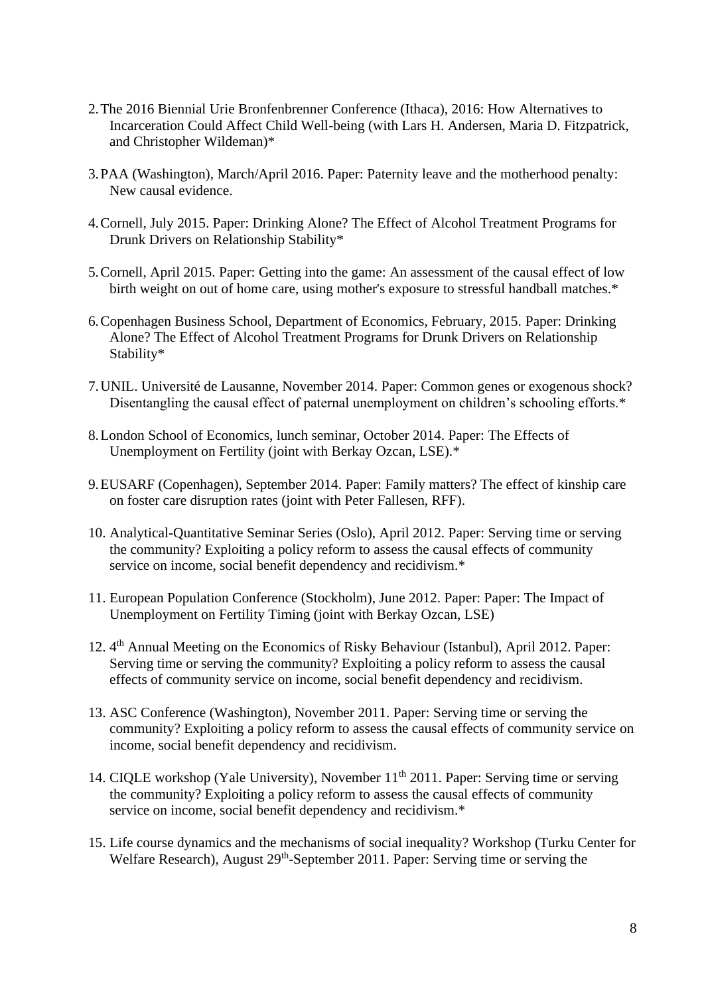- 2.The 2016 Biennial Urie Bronfenbrenner Conference (Ithaca), 2016: How Alternatives to Incarceration Could Affect Child Well-being (with Lars H. Andersen, Maria D. Fitzpatrick, and Christopher Wildeman)\*
- 3.PAA (Washington), March/April 2016. Paper: Paternity leave and the motherhood penalty: New causal evidence.
- 4.Cornell, July 2015. Paper: Drinking Alone? The Effect of Alcohol Treatment Programs for Drunk Drivers on Relationship Stability\*
- 5.Cornell, April 2015. Paper: Getting into the game: An assessment of the causal effect of low birth weight on out of home care, using mother's exposure to stressful handball matches.\*
- 6.Copenhagen Business School, Department of Economics, February, 2015. Paper: Drinking Alone? The Effect of Alcohol Treatment Programs for Drunk Drivers on Relationship Stability\*
- 7.UNIL. Université de Lausanne, November 2014. Paper: Common genes or exogenous shock? Disentangling the causal effect of paternal unemployment on children's schooling efforts.\*
- 8.London School of Economics, lunch seminar, October 2014. Paper: The Effects of Unemployment on Fertility (joint with Berkay Ozcan, LSE).\*
- 9.EUSARF (Copenhagen), September 2014. Paper: Family matters? The effect of kinship care on foster care disruption rates (joint with Peter Fallesen, RFF).
- 10. Analytical-Quantitative Seminar Series (Oslo), April 2012. Paper: Serving time or serving the community? Exploiting a policy reform to assess the causal effects of community service on income, social benefit dependency and recidivism.\*
- 11. European Population Conference (Stockholm), June 2012. Paper: Paper: The Impact of Unemployment on Fertility Timing (joint with Berkay Ozcan, LSE)
- 12. 4<sup>th</sup> Annual Meeting on the Economics of Risky Behaviour (Istanbul), April 2012. Paper: Serving time or serving the community? Exploiting a policy reform to assess the causal effects of community service on income, social benefit dependency and recidivism.
- 13. ASC Conference (Washington), November 2011. Paper: Serving time or serving the community? Exploiting a policy reform to assess the causal effects of community service on income, social benefit dependency and recidivism.
- 14. CIQLE workshop (Yale University), November 11<sup>th</sup> 2011. Paper: Serving time or serving the community? Exploiting a policy reform to assess the causal effects of community service on income, social benefit dependency and recidivism.\*
- 15. Life course dynamics and the mechanisms of social inequality? Workshop (Turku Center for Welfare Research), August 29<sup>th</sup>-September 2011. Paper: Serving time or serving the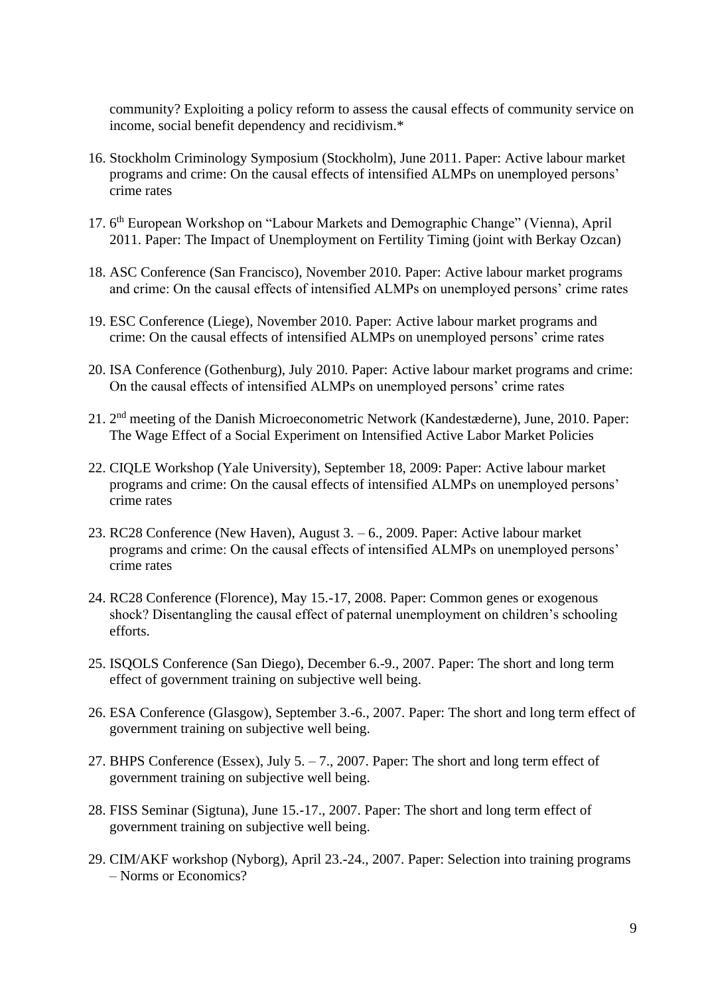community? Exploiting a policy reform to assess the causal effects of community service on income, social benefit dependency and recidivism.\*

- 16. Stockholm Criminology Symposium (Stockholm), June 2011. Paper: Active labour market programs and crime: On the causal effects of intensified ALMPs on unemployed persons' crime rates
- 17. 6<sup>th</sup> European Workshop on "Labour Markets and Demographic Change" (Vienna), April 2011. Paper: The Impact of Unemployment on Fertility Timing (joint with Berkay Ozcan)
- 18. ASC Conference (San Francisco), November 2010. Paper: Active labour market programs and crime: On the causal effects of intensified ALMPs on unemployed persons' crime rates
- 19. ESC Conference (Liege), November 2010. Paper: Active labour market programs and crime: On the causal effects of intensified ALMPs on unemployed persons' crime rates
- 20. ISA Conference (Gothenburg), July 2010. Paper: Active labour market programs and crime: On the causal effects of intensified ALMPs on unemployed persons' crime rates
- 21. 2<sup>nd</sup> meeting of the Danish Microeconometric Network (Kandestæderne), June, 2010. Paper: The Wage Effect of a Social Experiment on Intensified Active Labor Market Policies
- 22. CIQLE Workshop (Yale University), September 18, 2009: Paper: Active labour market programs and crime: On the causal effects of intensified ALMPs on unemployed persons' crime rates
- 23. RC28 Conference (New Haven), August 3. 6., 2009. Paper: Active labour market programs and crime: On the causal effects of intensified ALMPs on unemployed persons' crime rates
- 24. RC28 Conference (Florence), May 15.-17, 2008. Paper: Common genes or exogenous shock? Disentangling the causal effect of paternal unemployment on children's schooling efforts.
- 25. ISQOLS Conference (San Diego), December 6.-9., 2007. Paper: The short and long term effect of government training on subjective well being.
- 26. ESA Conference (Glasgow), September 3.-6., 2007. Paper: The short and long term effect of government training on subjective well being.
- 27. BHPS Conference (Essex), July 5. 7., 2007. Paper: The short and long term effect of government training on subjective well being.
- 28. FISS Seminar (Sigtuna), June 15.-17., 2007. Paper: The short and long term effect of government training on subjective well being.
- 29. CIM/AKF workshop (Nyborg), April 23.-24., 2007. Paper: Selection into training programs – Norms or Economics?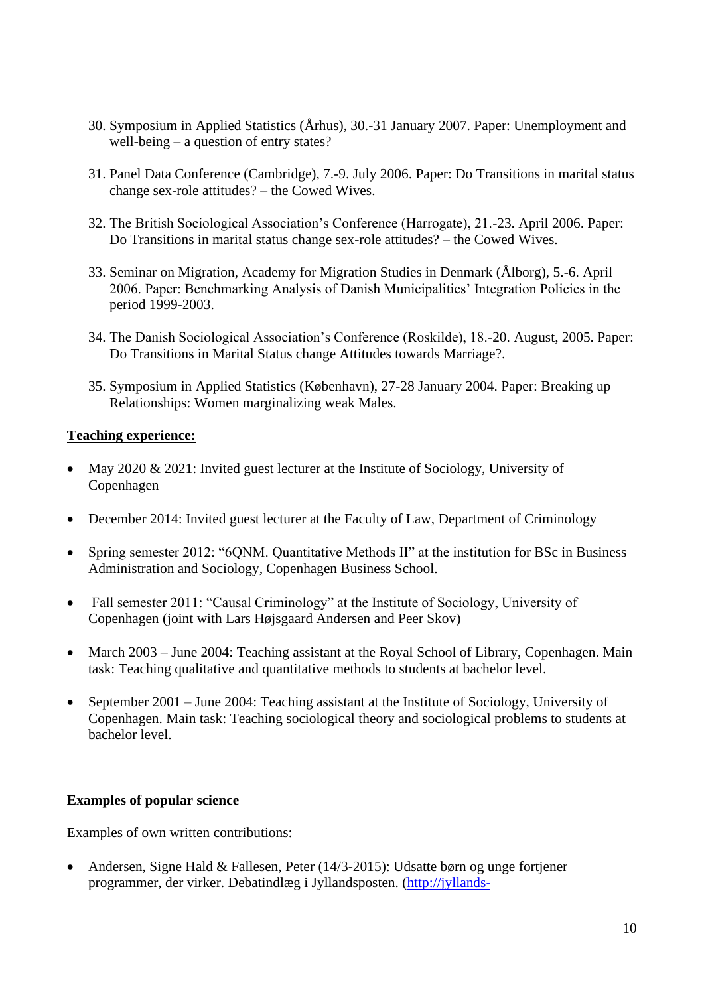- 30. Symposium in Applied Statistics (Århus), 30.-31 January 2007. Paper: Unemployment and well-being – a question of entry states?
- 31. Panel Data Conference (Cambridge), 7.-9. July 2006. Paper: Do Transitions in marital status change sex-role attitudes? – the Cowed Wives.
- 32. The British Sociological Association's Conference (Harrogate), 21.-23. April 2006. Paper: Do Transitions in marital status change sex-role attitudes? – the Cowed Wives.
- 33. Seminar on Migration, Academy for Migration Studies in Denmark (Ålborg), 5.-6. April 2006. Paper: Benchmarking Analysis of Danish Municipalities' Integration Policies in the period 1999-2003.
- 34. The Danish Sociological Association's Conference (Roskilde), 18.-20. August, 2005. Paper: Do Transitions in Marital Status change Attitudes towards Marriage?.
- 35. Symposium in Applied Statistics (København), 27-28 January 2004. Paper: Breaking up Relationships: Women marginalizing weak Males.

# **Teaching experience:**

- May 2020 & 2021: Invited guest lecturer at the Institute of Sociology, University of Copenhagen
- December 2014: Invited guest lecturer at the Faculty of Law, Department of Criminology
- Spring semester 2012: "6ONM. Quantitative Methods II" at the institution for BSc in Business Administration and Sociology, Copenhagen Business School.
- Fall semester 2011: "Causal Criminology" at the Institute of Sociology, University of Copenhagen (joint with Lars Højsgaard Andersen and Peer Skov)
- March 2003 June 2004: Teaching assistant at the Royal School of Library, Copenhagen. Main task: Teaching qualitative and quantitative methods to students at bachelor level.
- September 2001 June 2004: Teaching assistant at the Institute of Sociology, University of Copenhagen. Main task: Teaching sociological theory and sociological problems to students at bachelor level.

# **Examples of popular science**

Examples of own written contributions:

• Andersen, Signe Hald & Fallesen, Peter (14/3-2015): Udsatte børn og unge fortjener programmer, der virker. Debatindlæg i Jyllandsposten. [\(http://jyllands-](http://jyllands-posten.dk/debat/breve/ECE7545545/Udsatte+b%C3%B8rn+og+unge++fortjener+programmer,+der+virker/)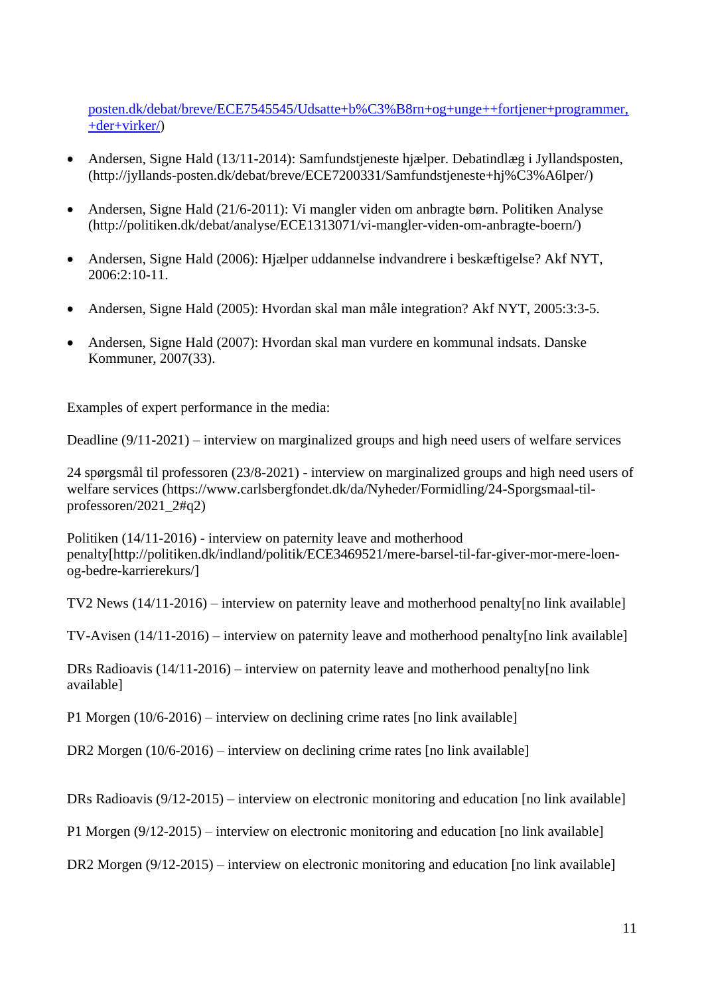[posten.dk/debat/breve/ECE7545545/Udsatte+b%C3%B8rn+og+unge++fortjener+programmer,](http://jyllands-posten.dk/debat/breve/ECE7545545/Udsatte+b%C3%B8rn+og+unge++fortjener+programmer,+der+virker/) [+der+virker/\)](http://jyllands-posten.dk/debat/breve/ECE7545545/Udsatte+b%C3%B8rn+og+unge++fortjener+programmer,+der+virker/)

- Andersen, Signe Hald (13/11-2014): Samfundstjeneste hjælper. Debatindlæg i Jyllandsposten, (http://jyllands-posten.dk/debat/breve/ECE7200331/Samfundstjeneste+hj%C3%A6lper/)
- Andersen, Signe Hald (21/6-2011): Vi mangler viden om anbragte børn. Politiken Analyse (http://politiken.dk/debat/analyse/ECE1313071/vi-mangler-viden-om-anbragte-boern/)
- [Andersen, Signe Hald](http://www.akf.dk/om_akf/medarbejdere/signe_hald_andersen/) (2006): [Hjælper uddannelse indvandrere i beskæftigelse?](http://www.akf.dk/udgivelser/container/udgivelse_2086/) Akf NYT, 2006:2:10-11.
- [Andersen, Signe Hald](http://www.akf.dk/om_akf/medarbejdere/signe_hald_andersen/) (2005): Hyordan skal man måle integration? Akf NYT, 2005:3:3-5.
- [Andersen, Signe Hald](http://www.akf.dk/om_akf/medarbejdere/signe_hald_andersen/) (2007): [Hvordan skal man vurdere en kommunal indsats.](http://www.akf.dk/udgivelser/container/udgivelse_2451/) Danske Kommuner, 2007(33).

Examples of expert performance in the media:

Deadline (9/11-2021) – interview on marginalized groups and high need users of welfare services

24 spørgsmål til professoren (23/8-2021) - interview on marginalized groups and high need users of welfare services (https://www.carlsbergfondet.dk/da/Nyheder/Formidling/24-Sporgsmaal-tilprofessoren/2021\_2#q2)

Politiken (14/11-2016) - interview on paternity leave and motherhood penalty[http://politiken.dk/indland/politik/ECE3469521/mere-barsel-til-far-giver-mor-mere-loenog-bedre-karrierekurs/]

TV2 News (14/11-2016) – interview on paternity leave and motherhood penalty[no link available]

TV-Avisen (14/11-2016) – interview on paternity leave and motherhood penalty[no link available]

DRs Radioavis (14/11-2016) – interview on paternity leave and motherhood penalty[no link available]

P1 Morgen (10/6-2016) – interview on declining crime rates [no link available]

DR2 Morgen (10/6-2016) – interview on declining crime rates [no link available]

DRs Radioavis (9/12-2015) – interview on electronic monitoring and education [no link available]

P1 Morgen (9/12-2015) – interview on electronic monitoring and education [no link available]

DR2 Morgen (9/12-2015) – interview on electronic monitoring and education [no link available]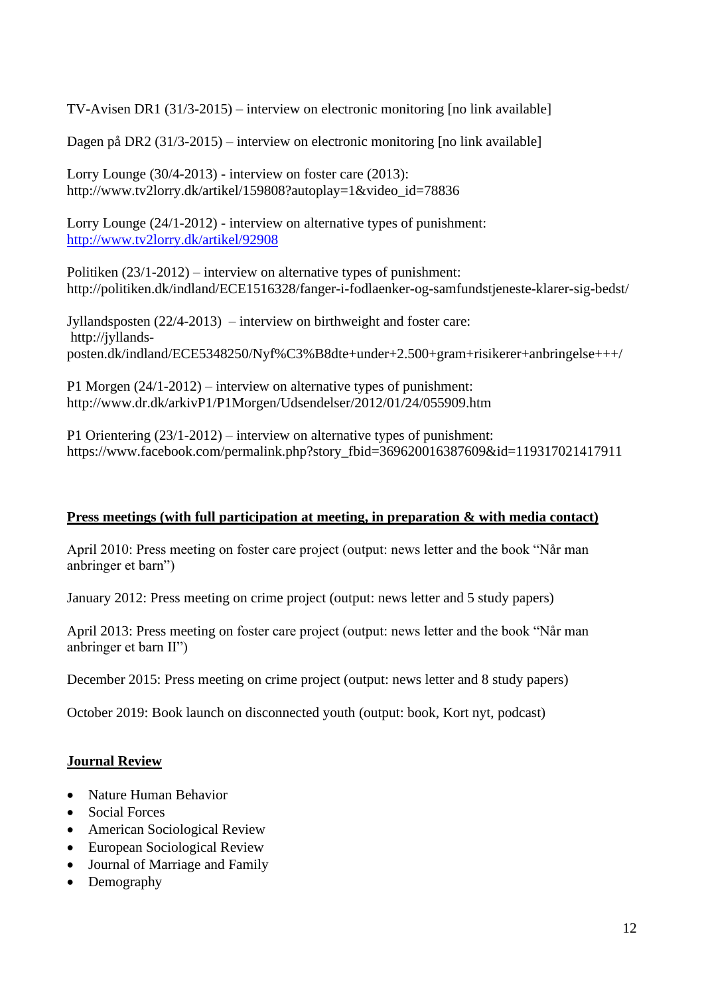TV-Avisen DR1 (31/3-2015) – interview on electronic monitoring [no link available]

Dagen på DR2 (31/3-2015) – interview on electronic monitoring [no link available]

Lorry Lounge (30/4-2013) - interview on foster care (2013): http://www.tv2lorry.dk/artikel/159808?autoplay=1&video\_id=78836

Lorry Lounge (24/1-2012) - interview on alternative types of punishment: <http://www.tv2lorry.dk/artikel/92908>

Politiken (23/1-2012) – interview on alternative types of punishment: <http://politiken.dk/indland/ECE1516328/fanger-i-fodlaenker-og-samfundstjeneste-klarer-sig-bedst/>

Jyllandsposten (22/4-2013) – interview on birthweight and foster care: http://jyllandsposten.dk/indland/ECE5348250/Nyf%C3%B8dte+under+2.500+gram+risikerer+anbringelse+++/

P1 Morgen (24/1-2012) – interview on alternative types of punishment: <http://www.dr.dk/arkivP1/P1Morgen/Udsendelser/2012/01/24/055909.htm>

P1 Orientering (23/1-2012) – interview on alternative types of punishment: https://www.facebook.com/permalink.php?story\_fbid=369620016387609&id=119317021417911

# **Press meetings (with full participation at meeting, in preparation & with media contact)**

April 2010: Press meeting on foster care project (output: news letter and the book "Når man anbringer et barn")

January 2012: Press meeting on crime project (output: news letter and 5 study papers)

April 2013: Press meeting on foster care project (output: news letter and the book "Når man anbringer et barn II")

December 2015: Press meeting on crime project (output: news letter and 8 study papers)

October 2019: Book launch on disconnected youth (output: book, Kort nyt, podcast)

# **Journal Review**

- Nature Human Behavior
- Social Forces
- American Sociological Review
- European Sociological Review
- Journal of Marriage and Family
- Demography